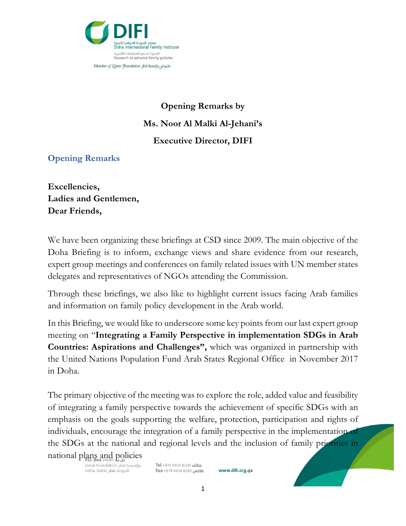

## **Opening Remarks by Ms. Noor Al Malki Al-Jehani's Executive Director, DIFI**

**Opening Remarks** 

**Excellencies, Ladies and Gentlemen, Dear Friends,** 

We have been organizing these briefings at CSD since 2009. The main objective of the Doha Briefing is to inform, exchange views and share evidence from our research, expert group meetings and conferences on family related issues with UN member states delegates and representatives of NGOs attending the Commission.

Through these briefings, we also like to highlight current issues facing Arab families and information on family policy development in the Arab world.

In this Briefing, we would like to underscore some key points from our last expert group meeting on "**Integrating a Family Perspective in implementation SDGs in Arab Countries: Aspirations and Challenges",** which was organized in partnership with the United Nations Population Fund Arab States Regional Office in November 2017 in Doha.

The primary objective of the meeting was to explore the role, added value and feasibility of integrating a family perspective towards the achievement of specific SDGs with an emphasis on the goals supporting the welfare, protection, participation and rights of individuals, encourage the integration of a family perspective in the implementation of the SDGs at the national and regional levels and the inclusion of family priorities in national plans and policies

مؤسسة قطر Qatar Foundation الدوحة، قطر Doha, Qatar

هاتف 8200 4454 974+ Tel فاكس 8249 4454 974 Fax

www.difi.org.qa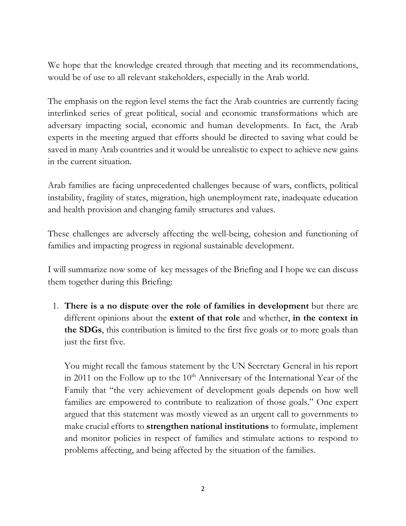We hope that the knowledge created through that meeting and its recommendations, would be of use to all relevant stakeholders, especially in the Arab world.

The emphasis on the region level stems the fact the Arab countries are currently facing interlinked series of great political, social and economic transformations which are adversary impacting social, economic and human developments. In fact, the Arab experts in the meeting argued that efforts should be directed to saving what could be saved in many Arab countries and it would be unrealistic to expect to achieve new gains in the current situation.

Arab families are facing unprecedented challenges because of wars, conflicts, political instability, fragility of states, migration, high unemployment rate, inadequate education and health provision and changing family structures and values.

These challenges are adversely affecting the well-being, cohesion and functioning of families and impacting progress in regional sustainable development.

I will summarize now some of key messages of the Briefing and I hope we can discuss them together during this Briefing:

1. **There is a no dispute over the role of families in development** but there are different opinions about the **extent of that role** and whether, **in the context in the SDGs**, this contribution is limited to the first five goals or to more goals than just the first five.

You might recall the famous statement by the UN Secretary General in his report in 2011 on the Follow up to the  $10<sup>th</sup>$  Anniversary of the International Year of the Family that "the very achievement of development goals depends on how well families are empowered to contribute to realization of those goals." One expert argued that this statement was mostly viewed as an urgent call to governments to make crucial efforts to **strengthen national institutions** to formulate, implement and monitor policies in respect of families and stimulate actions to respond to problems affecting, and being affected by the situation of the families.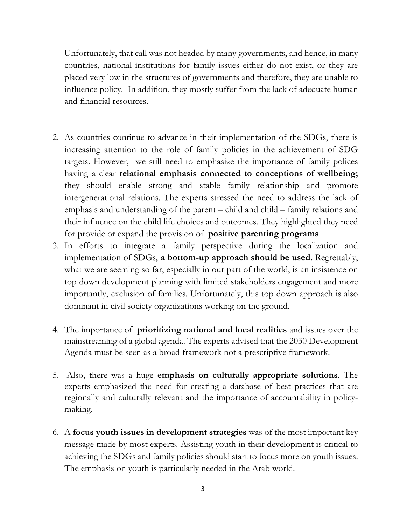Unfortunately, that call was not headed by many governments, and hence, in many countries, national institutions for family issues either do not exist, or they are placed very low in the structures of governments and therefore, they are unable to influence policy. In addition, they mostly suffer from the lack of adequate human and financial resources.

- 2. As countries continue to advance in their implementation of the SDGs, there is increasing attention to the role of family policies in the achievement of SDG targets. However, we still need to emphasize the importance of family polices having a clear **relational emphasis connected to conceptions of wellbeing;** they should enable strong and stable family relationship and promote intergenerational relations. The experts stressed the need to address the lack of emphasis and understanding of the parent – child and child – family relations and their influence on the child life choices and outcomes. They highlighted they need for provide or expand the provision of **positive parenting programs**.
- 3. In efforts to integrate a family perspective during the localization and implementation of SDGs, **a bottom-up approach should be used.** Regrettably, what we are seeming so far, especially in our part of the world, is an insistence on top down development planning with limited stakeholders engagement and more importantly, exclusion of families. Unfortunately, this top down approach is also dominant in civil society organizations working on the ground.
- 4. The importance of **prioritizing national and local realities** and issues over the mainstreaming of a global agenda. The experts advised that the 2030 Development Agenda must be seen as a broad framework not a prescriptive framework.
- 5. Also, there was a huge **emphasis on culturally appropriate solutions**. The experts emphasized the need for creating a database of best practices that are regionally and culturally relevant and the importance of accountability in policymaking.
- 6. A **focus youth issues in development strategies** was of the most important key message made by most experts. Assisting youth in their development is critical to achieving the SDGs and family policies should start to focus more on youth issues. The emphasis on youth is particularly needed in the Arab world.